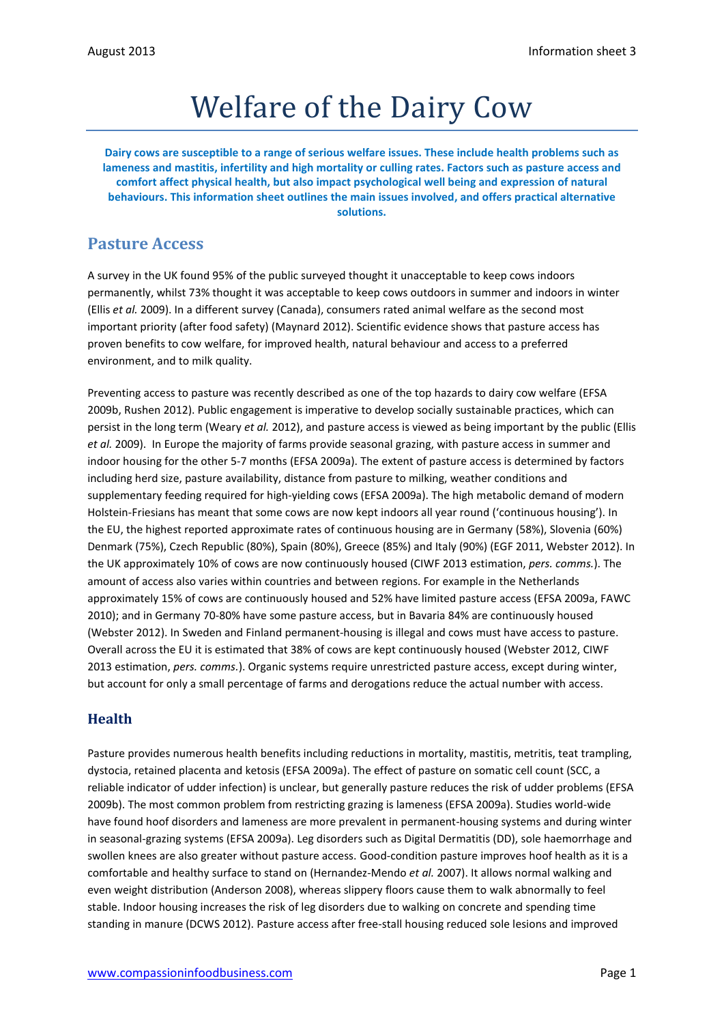# Welfare of the Dairy Cow

**Dairy cows are susceptible to a range of serious welfare issues. These include health problems such as lameness and mastitis, infertility and high mortality or culling rates. Factors such as pasture access and comfort affect physical health, but also impact psychological well being and expression of natural behaviours. This information sheet outlines the main issues involved, and offers practical alternative solutions.**

# **Pasture Access**

A survey in the UK found 95% of the public surveyed thought it unacceptable to keep cows indoors permanently, whilst 73% thought it was acceptable to keep cows outdoors in summer and indoors in winter (Ellis *et al.* 2009). In a different survey (Canada), consumers rated animal welfare as the second most important priority (after food safety) (Maynard 2012). Scientific evidence shows that pasture access has proven benefits to cow welfare, for improved health, natural behaviour and access to a preferred environment, and to milk quality.

Preventing access to pasture was recently described as one of the top hazards to dairy cow welfare (EFSA 2009b, Rushen 2012). Public engagement is imperative to develop socially sustainable practices, which can persist in the long term (Weary *et al.* 2012), and pasture access is viewed as being important by the public (Ellis *et al.* 2009). In Europe the majority of farms provide seasonal grazing, with pasture access in summer and indoor housing for the other 5-7 months (EFSA 2009a). The extent of pasture access is determined by factors including herd size, pasture availability, distance from pasture to milking, weather conditions and supplementary feeding required for high-yielding cows (EFSA 2009a). The high metabolic demand of modern Holstein-Friesians has meant that some cows are now kept indoors all year round ('continuous housing'). In the EU, the highest reported approximate rates of continuous housing are in Germany (58%), Slovenia (60%) Denmark (75%), Czech Republic (80%), Spain (80%), Greece (85%) and Italy (90%) (EGF 2011, Webster 2012). In the UK approximately 10% of cows are now continuously housed (CIWF 2013 estimation, *pers. comms.*). The amount of access also varies within countries and between regions. For example in the Netherlands approximately 15% of cows are continuously housed and 52% have limited pasture access (EFSA 2009a, FAWC 2010); and in Germany 70-80% have some pasture access, but in Bavaria 84% are continuously housed (Webster 2012). In Sweden and Finland permanent-housing is illegal and cows must have access to pasture. Overall across the EU it is estimated that 38% of cows are kept continuously housed (Webster 2012, CIWF 2013 estimation, *pers. comms.*). Organic systems require unrestricted pasture access, except during winter, but account for only a small percentage of farms and derogations reduce the actual number with access.

## **Health**

Pasture provides numerous health benefits including reductions in mortality, mastitis, metritis, teat trampling, dystocia, retained placenta and ketosis (EFSA 2009a). The effect of pasture on somatic cell count (SCC, a reliable indicator of udder infection) is unclear, but generally pasture reduces the risk of udder problems (EFSA 2009b). The most common problem from restricting grazing is lameness (EFSA 2009a). Studies world-wide have found hoof disorders and lameness are more prevalent in permanent-housing systems and during winter in seasonal-grazing systems (EFSA 2009a). Leg disorders such as Digital Dermatitis (DD), sole haemorrhage and swollen knees are also greater without pasture access. Good-condition pasture improves hoof health as it is a comfortable and healthy surface to stand on (Hernandez-Mendo *et al.* 2007). It allows normal walking and even weight distribution (Anderson 2008), whereas slippery floors cause them to walk abnormally to feel stable. Indoor housing increases the risk of leg disorders due to walking on concrete and spending time standing in manure (DCWS 2012). Pasture access after free-stall housing reduced sole lesions and improved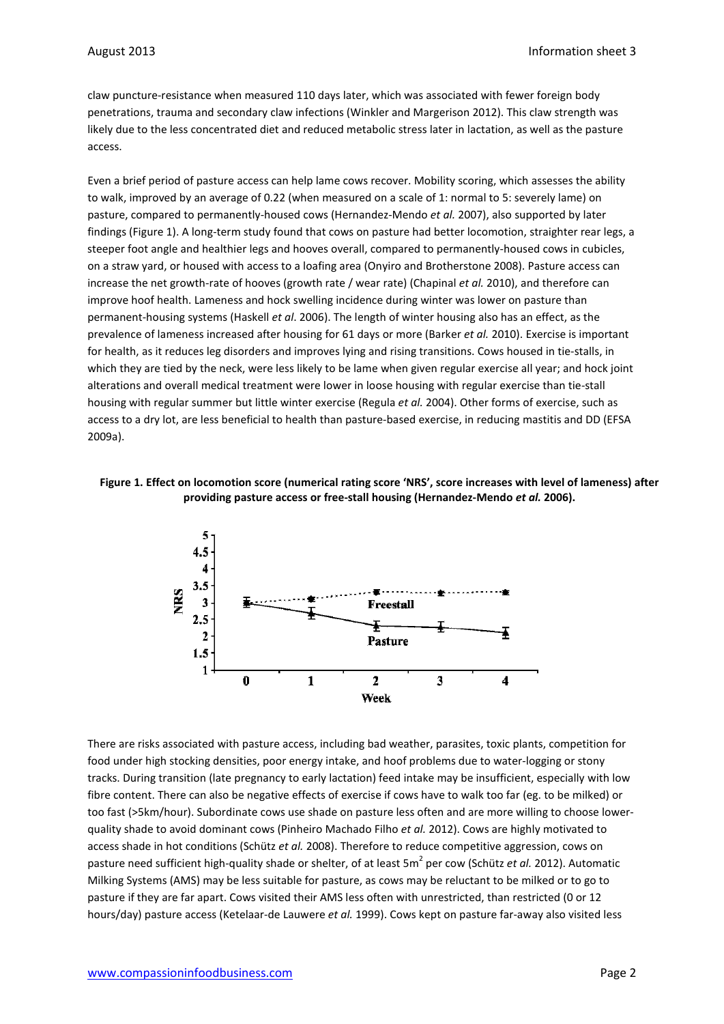claw puncture-resistance when measured 110 days later, which was associated with fewer foreign body penetrations, trauma and secondary claw infections (Winkler and Margerison 2012). This claw strength was likely due to the less concentrated diet and reduced metabolic stress later in lactation, as well as the pasture access.

Even a brief period of pasture access can help lame cows recover. Mobility scoring, which assesses the ability to walk, improved by an average of 0.22 (when measured on a scale of 1: normal to 5: severely lame) on pasture, compared to permanently-housed cows (Hernandez-Mendo *et al.* 2007), also supported by later findings (Figure 1). A long-term study found that cows on pasture had better locomotion, straighter rear legs, a steeper foot angle and healthier legs and hooves overall, compared to permanently-housed cows in cubicles, on a straw yard, or housed with access to a loafing area (Onyiro and Brotherstone 2008). Pasture access can increase the net growth-rate of hooves (growth rate / wear rate) (Chapinal *et al.* 2010), and therefore can improve hoof health. Lameness and hock swelling incidence during winter was lower on pasture than permanent-housing systems (Haskell *et al*. 2006). The length of winter housing also has an effect, as the prevalence of lameness increased after housing for 61 days or more (Barker *et al.* 2010). Exercise is important for health, as it reduces leg disorders and improves lying and rising transitions. Cows housed in tie-stalls, in which they are tied by the neck, were less likely to be lame when given regular exercise all year; and hock joint alterations and overall medical treatment were lower in loose housing with regular exercise than tie-stall housing with regular summer but little winter exercise (Regula *et al.* 2004). Other forms of exercise, such as access to a dry lot, are less beneficial to health than pasture-based exercise, in reducing mastitis and DD (EFSA 2009a).





There are risks associated with pasture access, including bad weather, parasites, toxic plants, competition for food under high stocking densities, poor energy intake, and hoof problems due to water-logging or stony tracks. During transition (late pregnancy to early lactation) feed intake may be insufficient, especially with low fibre content. There can also be negative effects of exercise if cows have to walk too far (eg. to be milked) or too fast (>5km/hour). Subordinate cows use shade on pasture less often and are more willing to choose lowerquality shade to avoid dominant cows (Pinheiro Machado Filho *et al.* 2012). Cows are highly motivated to access shade in hot conditions (Schütz *et al.* 2008). Therefore to reduce competitive aggression, cows on pasture need sufficient high-quality shade or shelter, of at least 5m2 per cow (Schütz *et al.* 2012). Automatic Milking Systems (AMS) may be less suitable for pasture, as cows may be reluctant to be milked or to go to pasture if they are far apart. Cows visited their AMS less often with unrestricted, than restricted (0 or 12 hours/day) pasture access (Ketelaar-de Lauwere *et al.* 1999). Cows kept on pasture far-away also visited less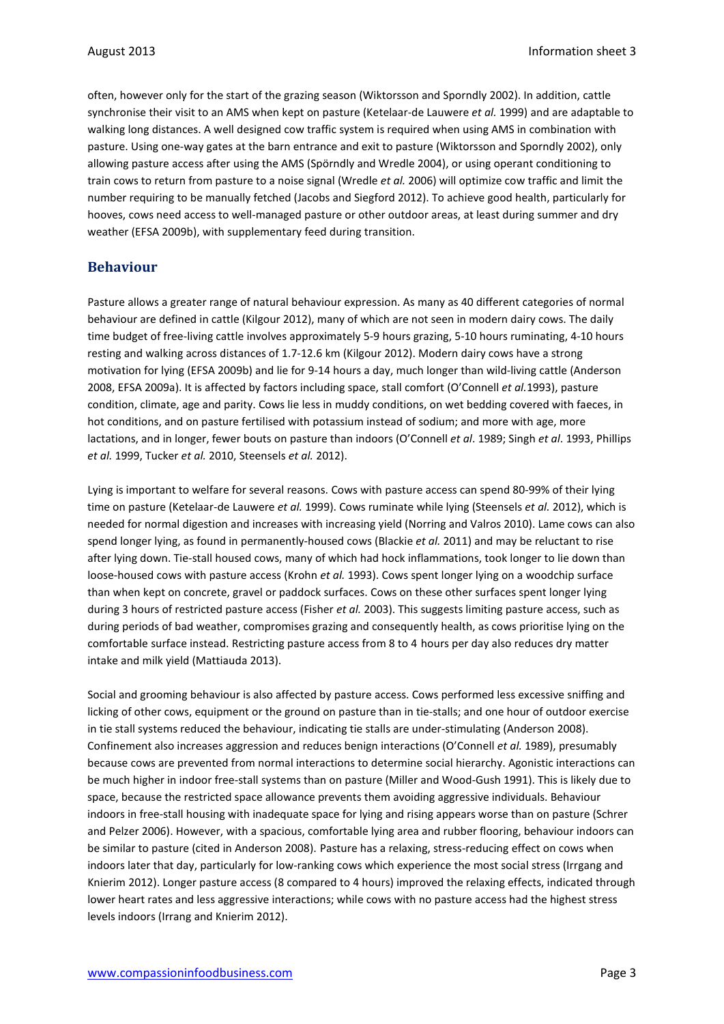often, however only for the start of the grazing season (Wiktorsson and Sporndly 2002). In addition, cattle synchronise their visit to an AMS when kept on pasture (Ketelaar-de Lauwere *et al.* 1999) and are adaptable to walking long distances. A well designed cow traffic system is required when using AMS in combination with pasture. Using one-way gates at the barn entrance and exit to pasture (Wiktorsson and Sporndly 2002), only allowing pasture access after using the AMS (Spörndly and Wredle 2004), or using operant conditioning to train cows to return from pasture to a noise signal (Wredle *et al.* 2006) will optimize cow traffic and limit the number requiring to be manually fetched (Jacobs and Siegford 2012). To achieve good health, particularly for hooves, cows need access to well-managed pasture or other outdoor areas, at least during summer and dry weather (EFSA 2009b), with supplementary feed during transition.

### **Behaviour**

Pasture allows a greater range of natural behaviour expression. As many as 40 different categories of normal behaviour are defined in cattle (Kilgour 2012), many of which are not seen in modern dairy cows. The daily time budget of free-living cattle involves approximately 5-9 hours grazing, 5-10 hours ruminating, 4-10 hours resting and walking across distances of 1.7-12.6 km (Kilgour 2012). Modern dairy cows have a strong motivation for lying (EFSA 2009b) and lie for 9-14 hours a day, much longer than wild-living cattle (Anderson 2008, EFSA 2009a). It is affected by factors including space, stall comfort (O'Connell *et al.*1993), pasture condition, climate, age and parity. Cows lie less in muddy conditions, on wet bedding covered with faeces, in hot conditions, and on pasture fertilised with potassium instead of sodium; and more with age, more lactations, and in longer, fewer bouts on pasture than indoors (O'Connell *et al*. 1989; Singh *et al*. 1993, Phillips *et al.* 1999, Tucker *et al.* 2010, Steensels *et al.* 2012).

Lying is important to welfare for several reasons. Cows with pasture access can spend 80-99% of their lying time on pasture (Ketelaar-de Lauwere *et al.* 1999). Cows ruminate while lying (Steensels *et al.* 2012), which is needed for normal digestion and increases with increasing yield (Norring and Valros 2010). Lame cows can also spend longer lying, as found in permanently-housed cows (Blackie *et al.* 2011) and may be reluctant to rise after lying down. Tie-stall housed cows, many of which had hock inflammations, took longer to lie down than loose-housed cows with pasture access (Krohn *et al.* 1993). Cows spent longer lying on a woodchip surface than when kept on concrete, gravel or paddock surfaces. Cows on these other surfaces spent longer lying during 3 hours of restricted pasture access (Fisher *et al.* 2003). This suggests limiting pasture access, such as during periods of bad weather, compromises grazing and consequently health, as cows prioritise lying on the comfortable surface instead. Restricting pasture access from 8 to 4 hours per day also reduces dry matter intake and milk yield (Mattiauda 2013).

Social and grooming behaviour is also affected by pasture access. Cows performed less excessive sniffing and licking of other cows, equipment or the ground on pasture than in tie-stalls; and one hour of outdoor exercise in tie stall systems reduced the behaviour, indicating tie stalls are under-stimulating (Anderson 2008). Confinement also increases aggression and reduces benign interactions (O'Connell *et al.* 1989), presumably because cows are prevented from normal interactions to determine social hierarchy. Agonistic interactions can be much higher in indoor free-stall systems than on pasture (Miller and Wood-Gush 1991). This is likely due to space, because the restricted space allowance prevents them avoiding aggressive individuals. Behaviour indoors in free-stall housing with inadequate space for lying and rising appears worse than on pasture (Schrer and Pelzer 2006). However, with a spacious, comfortable lying area and rubber flooring, behaviour indoors can be similar to pasture (cited in Anderson 2008). Pasture has a relaxing, stress-reducing effect on cows when indoors later that day, particularly for low-ranking cows which experience the most social stress (Irrgang and Knierim 2012). Longer pasture access (8 compared to 4 hours) improved the relaxing effects, indicated through lower heart rates and less aggressive interactions; while cows with no pasture access had the highest stress levels indoors (Irrang and Knierim 2012).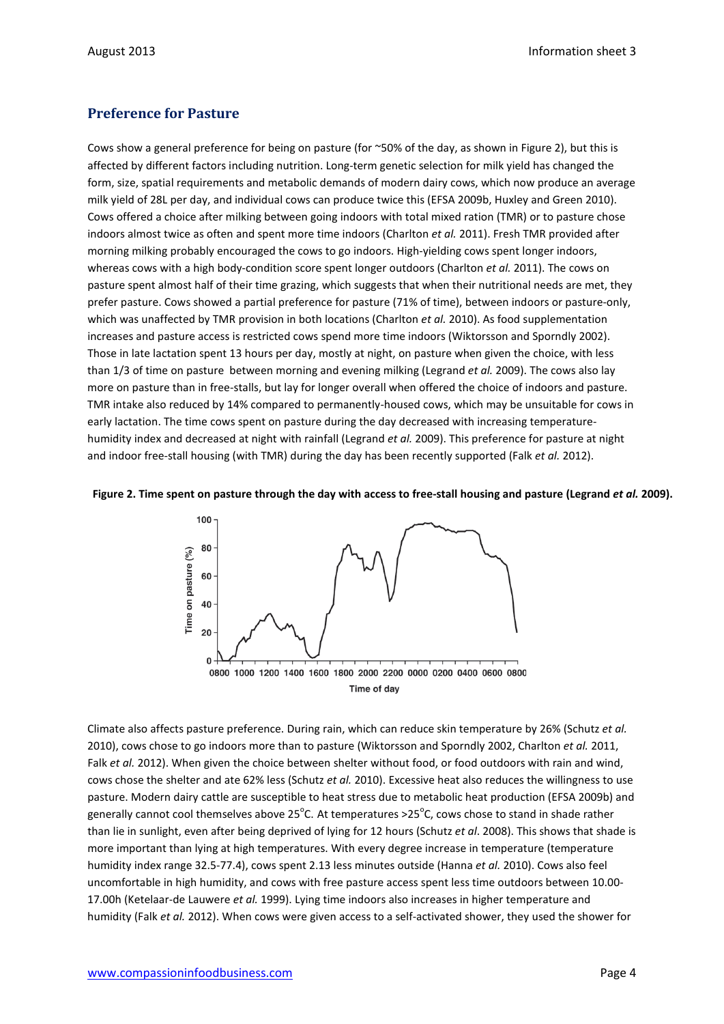#### **Preference for Pasture**

Cows show a general preference for being on pasture (for ~50% of the day, as shown in Figure 2), but this is affected by different factors including nutrition. Long-term genetic selection for milk yield has changed the form, size, spatial requirements and metabolic demands of modern dairy cows, which now produce an average milk yield of 28L per day, and individual cows can produce twice this (EFSA 2009b, Huxley and Green 2010). Cows offered a choice after milking between going indoors with total mixed ration (TMR) or to pasture chose indoors almost twice as often and spent more time indoors (Charlton *et al.* 2011). Fresh TMR provided after morning milking probably encouraged the cows to go indoors. High-yielding cows spent longer indoors, whereas cows with a high body-condition score spent longer outdoors (Charlton *et al.* 2011). The cows on pasture spent almost half of their time grazing, which suggests that when their nutritional needs are met, they prefer pasture. Cows showed a partial preference for pasture (71% of time), between indoors or pasture-only, which was unaffected by TMR provision in both locations (Charlton *et al.* 2010). As food supplementation increases and pasture access is restricted cows spend more time indoors (Wiktorsson and Sporndly 2002). Those in late lactation spent 13 hours per day, mostly at night, on pasture when given the choice, with less than 1/3 of time on pasture between morning and evening milking (Legrand *et al.* 2009). The cows also lay more on pasture than in free-stalls, but lay for longer overall when offered the choice of indoors and pasture. TMR intake also reduced by 14% compared to permanently-housed cows, which may be unsuitable for cows in early lactation. The time cows spent on pasture during the day decreased with increasing temperaturehumidity index and decreased at night with rainfall (Legrand *et al.* 2009). This preference for pasture at night and indoor free-stall housing (with TMR) during the day has been recently supported (Falk *et al.* 2012).

#### **Figure 2. Time spent on pasture through the day with access to free-stall housing and pasture (Legrand** *et al.* **2009).**



Climate also affects pasture preference. During rain, which can reduce skin temperature by 26% (Schutz *et al.* 2010), cows chose to go indoors more than to pasture (Wiktorsson and Sporndly 2002, Charlton *et al.* 2011, Falk *et al.* 2012). When given the choice between shelter without food, or food outdoors with rain and wind, cows chose the shelter and ate 62% less (Schutz *et al.* 2010). Excessive heat also reduces the willingness to use pasture. Modern dairy cattle are susceptible to heat stress due to metabolic heat production (EFSA 2009b) and generally cannot cool themselves above 25<sup>°</sup>C. At temperatures >25<sup>°</sup>C, cows chose to stand in shade rather than lie in sunlight, even after being deprived of lying for 12 hours (Schutz *et al*. 2008). This shows that shade is more important than lying at high temperatures. With every degree increase in temperature (temperature humidity index range 32.5-77.4), cows spent 2.13 less minutes outside (Hanna *et al.* 2010). Cows also feel uncomfortable in high humidity, and cows with free pasture access spent less time outdoors between 10.00- 17.00h (Ketelaar-de Lauwere *et al.* 1999). Lying time indoors also increases in higher temperature and humidity (Falk *et al.* 2012). When cows were given access to a self-activated shower, they used the shower for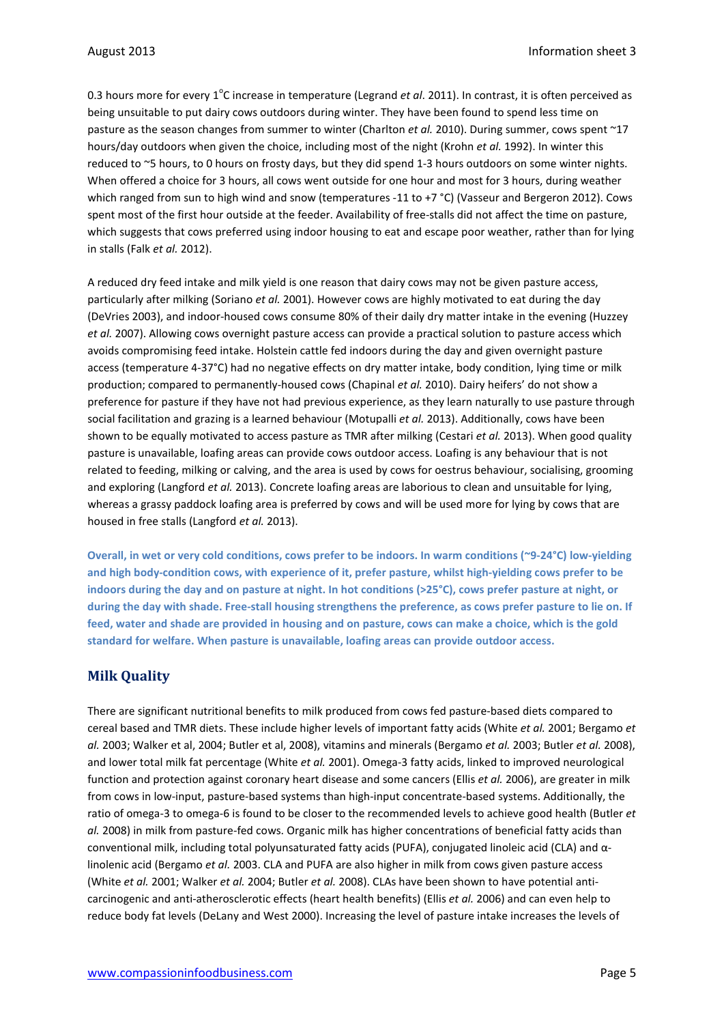0.3 hours more for every 1<sup>o</sup>C increase in temperature (Legrand *et al*. 2011). In contrast, it is often perceived as being unsuitable to put dairy cows outdoors during winter. They have been found to spend less time on pasture as the season changes from summer to winter (Charlton *et al.* 2010). During summer, cows spent ~17 hours/day outdoors when given the choice, including most of the night (Krohn *et al.* 1992). In winter this reduced to ~5 hours, to 0 hours on frosty days, but they did spend 1-3 hours outdoors on some winter nights. When offered a choice for 3 hours, all cows went outside for one hour and most for 3 hours, during weather which ranged from sun to high wind and snow (temperatures -11 to +7 °C) (Vasseur and Bergeron 2012). Cows spent most of the first hour outside at the feeder. Availability of free-stalls did not affect the time on pasture, which suggests that cows preferred using indoor housing to eat and escape poor weather, rather than for lying in stalls (Falk *et al.* 2012).

A reduced dry feed intake and milk yield is one reason that dairy cows may not be given pasture access, particularly after milking (Soriano *et al.* 2001). However cows are highly motivated to eat during the day (DeVries 2003), and indoor-housed cows consume 80% of their daily dry matter intake in the evening (Huzzey *et al.* 2007). Allowing cows overnight pasture access can provide a practical solution to pasture access which avoids compromising feed intake. Holstein cattle fed indoors during the day and given overnight pasture access (temperature 4-37°C) had no negative effects on dry matter intake, body condition, lying time or milk production; compared to permanently-housed cows (Chapinal *et al.* 2010). Dairy heifers' do not show a preference for pasture if they have not had previous experience, as they learn naturally to use pasture through social facilitation and grazing is a learned behaviour (Motupalli *et al.* 2013). Additionally, cows have been shown to be equally motivated to access pasture as TMR after milking (Cestari *et al.* 2013). When good quality pasture is unavailable, loafing areas can provide cows outdoor access. Loafing is any behaviour that is not related to feeding, milking or calving, and the area is used by cows for oestrus behaviour, socialising, grooming and exploring (Langford *et al.* 2013). Concrete loafing areas are laborious to clean and unsuitable for lying, whereas a grassy paddock loafing area is preferred by cows and will be used more for lying by cows that are housed in free stalls (Langford *et al.* 2013).

**Overall, in wet or very cold conditions, cows prefer to be indoors. In warm conditions (~9-24°C) low-yielding and high body-condition cows, with experience of it, prefer pasture, whilst high-yielding cows prefer to be indoors during the day and on pasture at night. In hot conditions (>25°C), cows prefer pasture at night, or during the day with shade. Free-stall housing strengthens the preference, as cows prefer pasture to lie on. If feed, water and shade are provided in housing and on pasture, cows can make a choice, which is the gold standard for welfare. When pasture is unavailable, loafing areas can provide outdoor access.**

### **Milk Quality**

There are significant nutritional benefits to milk produced from cows fed pasture-based diets compared to cereal based and TMR diets. These include higher levels of important fatty acids (White *et al.* 2001; Bergamo *et al.* 2003; Walker et al, 2004; Butler et al, 2008), vitamins and minerals (Bergamo *et al.* 2003; Butler *et al.* 2008), and lower total milk fat percentage (White *et al.* 2001). Omega-3 fatty acids, linked to improved neurological function and protection against coronary heart disease and some cancers (Ellis *et al.* 2006), are greater in milk from cows in low-input, pasture-based systems than high-input concentrate-based systems. Additionally, the ratio of omega-3 to omega-6 is found to be closer to the recommended levels to achieve good health (Butler *et al.* 2008) in milk from pasture-fed cows. Organic milk has higher concentrations of beneficial fatty acids than conventional milk, including total polyunsaturated fatty acids (PUFA), conjugated linoleic acid (CLA) and αlinolenic acid (Bergamo *et al.* 2003. CLA and PUFA are also higher in milk from cows given pasture access (White *et al.* 2001; Walker *et al.* 2004; Butler *et al.* 2008). CLAs have been shown to have potential anticarcinogenic and anti-atherosclerotic effects (heart health benefits) (Ellis *et al.* 2006) and can even help to reduce body fat levels (DeLany and West 2000). Increasing the level of pasture intake increases the levels of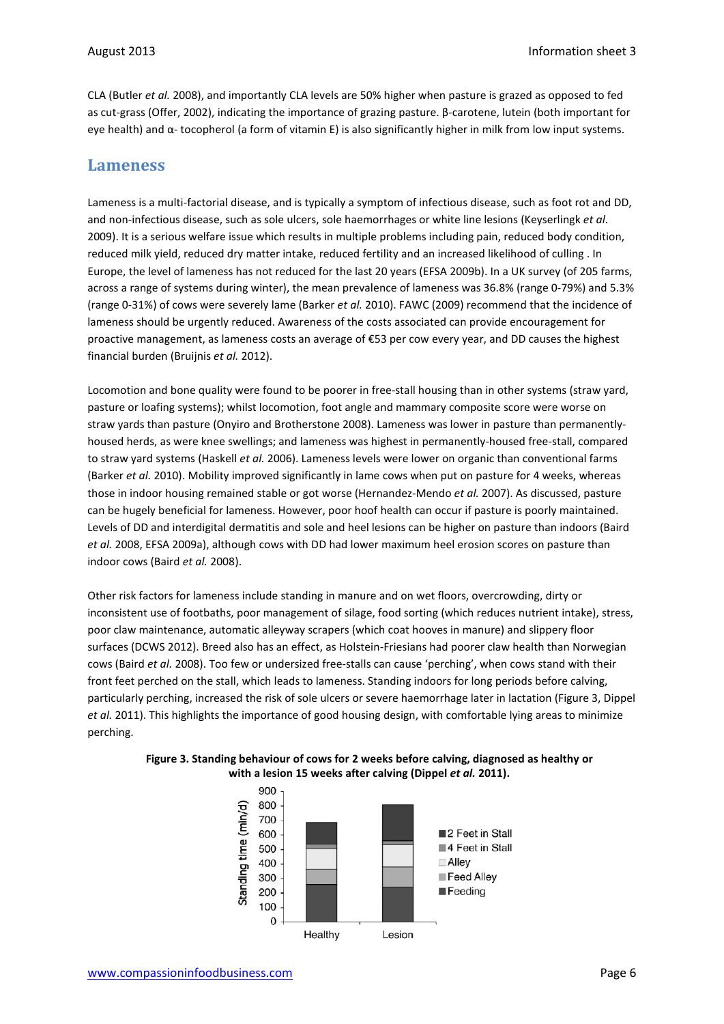CLA (Butler *et al.* 2008), and importantly CLA levels are 50% higher when pasture is grazed as opposed to fed as cut-grass (Offer, 2002), indicating the importance of grazing pasture. β-carotene, lutein (both important for eye health) and α- tocopherol (a form of vitamin E) is also significantly higher in milk from low input systems.

# **Lameness**

Lameness is a multi-factorial disease, and is typically a symptom of infectious disease, such as foot rot and DD, and non-infectious disease, such as sole ulcers, sole haemorrhages or white line lesions (Keyserlingk *et al*. 2009). It is a serious welfare issue which results in multiple problems including pain, reduced body condition, reduced milk yield, reduced dry matter intake, reduced fertility and an increased likelihood of culling . In Europe, the level of lameness has not reduced for the last 20 years (EFSA 2009b). In a UK survey (of 205 farms, across a range of systems during winter), the mean prevalence of lameness was 36.8% (range 0-79%) and 5.3% (range 0-31%) of cows were severely lame (Barker *et al.* 2010). FAWC (2009) recommend that the incidence of lameness should be urgently reduced. Awareness of the costs associated can provide encouragement for proactive management, as lameness costs an average of €53 per cow every year, and DD causes the highest financial burden (Bruijnis *et al.* 2012).

Locomotion and bone quality were found to be poorer in free-stall housing than in other systems (straw yard, pasture or loafing systems); whilst locomotion, foot angle and mammary composite score were worse on straw yards than pasture (Onyiro and Brotherstone 2008). Lameness was lower in pasture than permanentlyhoused herds, as were knee swellings; and lameness was highest in permanently-housed free-stall, compared to straw yard systems (Haskell *et al.* 2006). Lameness levels were lower on organic than conventional farms (Barker *et al.* 2010). Mobility improved significantly in lame cows when put on pasture for 4 weeks, whereas those in indoor housing remained stable or got worse (Hernandez-Mendo *et al.* 2007). As discussed, pasture can be hugely beneficial for lameness. However, poor hoof health can occur if pasture is poorly maintained. Levels of DD and interdigital dermatitis and sole and heel lesions can be higher on pasture than indoors (Baird *et al.* 2008, EFSA 2009a), although cows with DD had lower maximum heel erosion scores on pasture than indoor cows (Baird *et al.* 2008).

Other risk factors for lameness include standing in manure and on wet floors, overcrowding, dirty or inconsistent use of footbaths, poor management of silage, food sorting (which reduces nutrient intake), stress, poor claw maintenance, automatic alleyway scrapers (which coat hooves in manure) and slippery floor surfaces (DCWS 2012). Breed also has an effect, as Holstein-Friesians had poorer claw health than Norwegian cows (Baird *et al.* 2008). Too few or undersized free-stalls can cause 'perching', when cows stand with their front feet perched on the stall, which leads to lameness. Standing indoors for long periods before calving, particularly perching, increased the risk of sole ulcers or severe haemorrhage later in lactation (Figure 3, Dippel *et al.* 2011). This highlights the importance of good housing design, with comfortable lying areas to minimize perching.



Lesion

Healthy

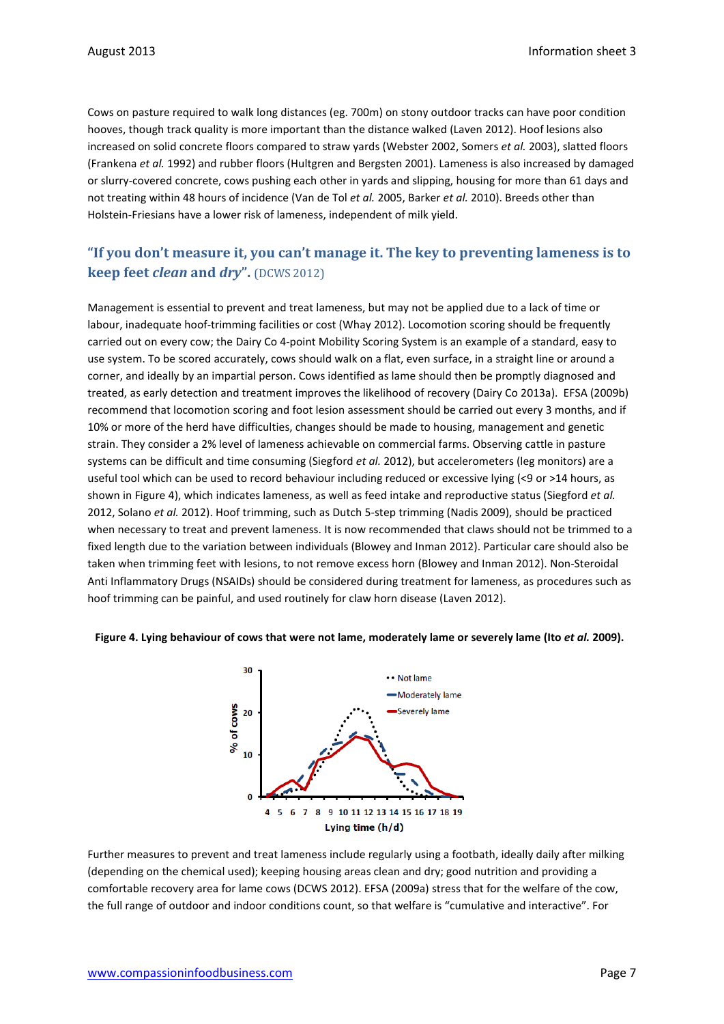Cows on pasture required to walk long distances (eg. 700m) on stony outdoor tracks can have poor condition hooves, though track quality is more important than the distance walked (Laven 2012). Hoof lesions also increased on solid concrete floors compared to straw yards (Webster 2002, Somers *et al.* 2003), slatted floors (Frankena *et al.* 1992) and rubber floors (Hultgren and Bergsten 2001). Lameness is also increased by damaged or slurry-covered concrete, cows pushing each other in yards and slipping, housing for more than 61 days and not treating within 48 hours of incidence (Van de Tol *et al.* 2005, Barker *et al.* 2010). Breeds other than Holstein-Friesians have a lower risk of lameness, independent of milk yield.

## **"If you don't measure it, you can't manage it. The key to preventing lameness is to keep feet** *clean* **and** *dry***".** (DCWS 2012)

Management is essential to prevent and treat lameness, but may not be applied due to a lack of time or labour, inadequate hoof-trimming facilities or cost (Whay 2012). Locomotion scoring should be frequently carried out on every cow; the Dairy Co 4-point Mobility Scoring System is an example of a standard, easy to use system. To be scored accurately, cows should walk on a flat, even surface, in a straight line or around a corner, and ideally by an impartial person. Cows identified as lame should then be promptly diagnosed and treated, as early detection and treatment improves the likelihood of recovery (Dairy Co 2013a). EFSA (2009b) recommend that locomotion scoring and foot lesion assessment should be carried out every 3 months, and if 10% or more of the herd have difficulties, changes should be made to housing, management and genetic strain. They consider a 2% level of lameness achievable on commercial farms. Observing cattle in pasture systems can be difficult and time consuming (Siegford *et al.* 2012), but accelerometers (leg monitors) are a useful tool which can be used to record behaviour including reduced or excessive lying (<9 or >14 hours, as shown in Figure 4), which indicates lameness, as well as feed intake and reproductive status (Siegford *et al.* 2012, Solano *et al.* 2012). Hoof trimming, such as Dutch 5-step trimming (Nadis 2009), should be practiced when necessary to treat and prevent lameness. It is now recommended that claws should not be trimmed to a fixed length due to the variation between individuals (Blowey and Inman 2012). Particular care should also be taken when trimming feet with lesions, to not remove excess horn (Blowey and Inman 2012). Non-Steroidal Anti Inflammatory Drugs (NSAIDs) should be considered during treatment for lameness, as procedures such as hoof trimming can be painful, and used routinely for claw horn disease (Laven 2012).



#### **Figure 4. Lying behaviour of cows that were not lame, moderately lame or severely lame (Ito** *et al.* **2009).**

Further measures to prevent and treat lameness include regularly using a footbath, ideally daily after milking (depending on the chemical used); keeping housing areas clean and dry; good nutrition and providing a comfortable recovery area for lame cows (DCWS 2012). EFSA (2009a) stress that for the welfare of the cow, the full range of outdoor and indoor conditions count, so that welfare is "cumulative and interactive". For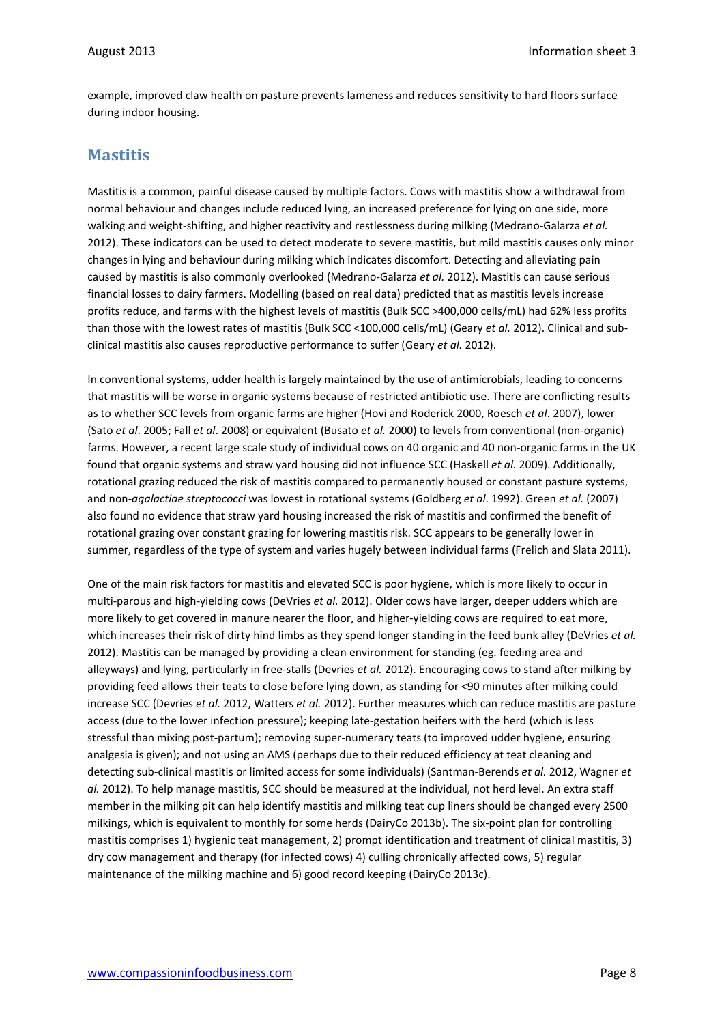example, improved claw health on pasture prevents lameness and reduces sensitivity to hard floors surface during indoor housing.

# **Mastitis**

Mastitis is a common, painful disease caused by multiple factors. Cows with mastitis show a withdrawal from normal behaviour and changes include reduced lying, an increased preference for lying on one side, more walking and weight-shifting, and higher reactivity and restlessness during milking (Medrano-Galarza *et al.* 2012). These indicators can be used to detect moderate to severe mastitis, but mild mastitis causes only minor changes in lying and behaviour during milking which indicates discomfort. Detecting and alleviating pain caused by mastitis is also commonly overlooked (Medrano-Galarza *et al.* 2012). Mastitis can cause serious financial losses to dairy farmers. Modelling (based on real data) predicted that as mastitis levels increase profits reduce, and farms with the highest levels of mastitis (Bulk SCC >400,000 cells/mL) had 62% less profits than those with the lowest rates of mastitis (Bulk SCC <100,000 cells/mL) (Geary *et al.* 2012). Clinical and subclinical mastitis also causes reproductive performance to suffer (Geary *et al.* 2012).

In conventional systems, udder health is largely maintained by the use of antimicrobials, leading to concerns that mastitis will be worse in organic systems because of restricted antibiotic use. There are conflicting results as to whether SCC levels from organic farms are higher (Hovi and Roderick 2000, Roesch *et al*. 2007), lower (Sato *et al*. 2005; Fall *et al*. 2008) or equivalent (Busato *et al.* 2000) to levels from conventional (non-organic) farms. However, a recent large scale study of individual cows on 40 organic and 40 non-organic farms in the UK found that organic systems and straw yard housing did not influence SCC (Haskell *et al.* 2009). Additionally, rotational grazing reduced the risk of mastitis compared to permanently housed or constant pasture systems, and non-*agalactiae streptococci* was lowest in rotational systems (Goldberg *et al*. 1992). Green *et al.* (2007) also found no evidence that straw yard housing increased the risk of mastitis and confirmed the benefit of rotational grazing over constant grazing for lowering mastitis risk. SCC appears to be generally lower in summer, regardless of the type of system and varies hugely between individual farms (Frelich and Slata 2011).

One of the main risk factors for mastitis and elevated SCC is poor hygiene, which is more likely to occur in multi-parous and high-yielding cows (DeVries *et al.* 2012). Older cows have larger, deeper udders which are more likely to get covered in manure nearer the floor, and higher-yielding cows are required to eat more, which increases their risk of dirty hind limbs as they spend longer standing in the feed bunk alley (DeVries *et al.*  2012). Mastitis can be managed by providing a clean environment for standing (eg. feeding area and alleyways) and lying, particularly in free-stalls (Devries *et al.* 2012). Encouraging cows to stand after milking by providing feed allows their teats to close before lying down, as standing for <90 minutes after milking could increase SCC (Devries *et al.* 2012, Watters *et al.* 2012). Further measures which can reduce mastitis are pasture access (due to the lower infection pressure); keeping late-gestation heifers with the herd (which is less stressful than mixing post-partum); removing super-numerary teats (to improved udder hygiene, ensuring analgesia is given); and not using an AMS (perhaps due to their reduced efficiency at teat cleaning and detecting sub-clinical mastitis or limited access for some individuals) (Santman-Berends *et al.* 2012, Wagner *et al.* 2012). To help manage mastitis, SCC should be measured at the individual, not herd level. An extra staff member in the milking pit can help identify mastitis and milking teat cup liners should be changed every 2500 milkings, which is equivalent to monthly for some herds (DairyCo 2013b). The six-point plan for controlling mastitis comprises 1) hygienic teat management, 2) prompt identification and treatment of clinical mastitis, 3) dry cow management and therapy (for infected cows) 4) culling chronically affected cows, 5) regular maintenance of the milking machine and 6) good record keeping (DairyCo 2013c).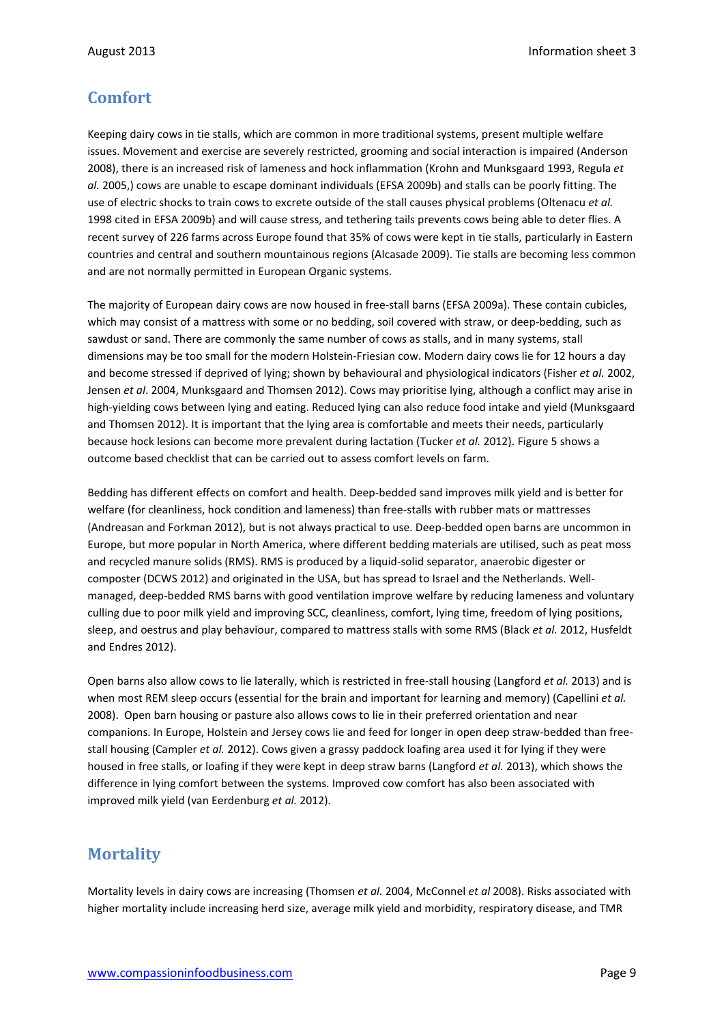# **Comfort**

Keeping dairy cows in tie stalls, which are common in more traditional systems, present multiple welfare issues. Movement and exercise are severely restricted, grooming and social interaction is impaired (Anderson 2008), there is an increased risk of lameness and hock inflammation (Krohn and Munksgaard 1993, Regula *et al.* 2005,) cows are unable to escape dominant individuals (EFSA 2009b) and stalls can be poorly fitting. The use of electric shocks to train cows to excrete outside of the stall causes physical problems (Oltenacu *et al.* 1998 cited in EFSA 2009b) and will cause stress, and tethering tails prevents cows being able to deter flies. A recent survey of 226 farms across Europe found that 35% of cows were kept in tie stalls, particularly in Eastern countries and central and southern mountainous regions (Alcasade 2009). Tie stalls are becoming less common and are not normally permitted in European Organic systems.

The majority of European dairy cows are now housed in free-stall barns (EFSA 2009a). These contain cubicles, which may consist of a mattress with some or no bedding, soil covered with straw, or deep-bedding, such as sawdust or sand. There are commonly the same number of cows as stalls, and in many systems, stall dimensions may be too small for the modern Holstein-Friesian cow. Modern dairy cows lie for 12 hours a day and become stressed if deprived of lying; shown by behavioural and physiological indicators (Fisher *et al.* 2002, Jensen *et al*. 2004, Munksgaard and Thomsen 2012). Cows may prioritise lying, although a conflict may arise in high-yielding cows between lying and eating. Reduced lying can also reduce food intake and yield (Munksgaard and Thomsen 2012). It is important that the lying area is comfortable and meets their needs, particularly because hock lesions can become more prevalent during lactation (Tucker *et al.* 2012). Figure 5 shows a outcome based checklist that can be carried out to assess comfort levels on farm.

Bedding has different effects on comfort and health. Deep-bedded sand improves milk yield and is better for welfare (for cleanliness, hock condition and lameness) than free-stalls with rubber mats or mattresses (Andreasan and Forkman 2012), but is not always practical to use. Deep-bedded open barns are uncommon in Europe, but more popular in North America, where different bedding materials are utilised, such as peat moss and recycled manure solids (RMS). RMS is produced by a liquid-solid separator, anaerobic digester or composter (DCWS 2012) and originated in the USA, but has spread to Israel and the Netherlands. Wellmanaged, deep-bedded RMS barns with good ventilation improve welfare by reducing lameness and voluntary culling due to poor milk yield and improving SCC, cleanliness, comfort, lying time, freedom of lying positions, sleep, and oestrus and play behaviour, compared to mattress stalls with some RMS (Black *et al.* 2012, Husfeldt and Endres 2012).

Open barns also allow cows to lie laterally, which is restricted in free-stall housing (Langford *et al.* 2013) and is when most REM sleep occurs (essential for the brain and important for learning and memory) (Capellini *et al.* 2008). Open barn housing or pasture also allows cows to lie in their preferred orientation and near companions. In Europe, Holstein and Jersey cows lie and feed for longer in open deep straw-bedded than freestall housing (Campler *et al.* 2012). Cows given a grassy paddock loafing area used it for lying if they were housed in free stalls, or loafing if they were kept in deep straw barns (Langford *et al.* 2013), which shows the difference in lying comfort between the systems. Improved cow comfort has also been associated with improved milk yield (van Eerdenburg *et al.* 2012).

# **Mortality**

Mortality levels in dairy cows are increasing (Thomsen *et al.* 2004, McConnel *et al* 2008). Risks associated with higher mortality include increasing herd size, average milk yield and morbidity, respiratory disease, and TMR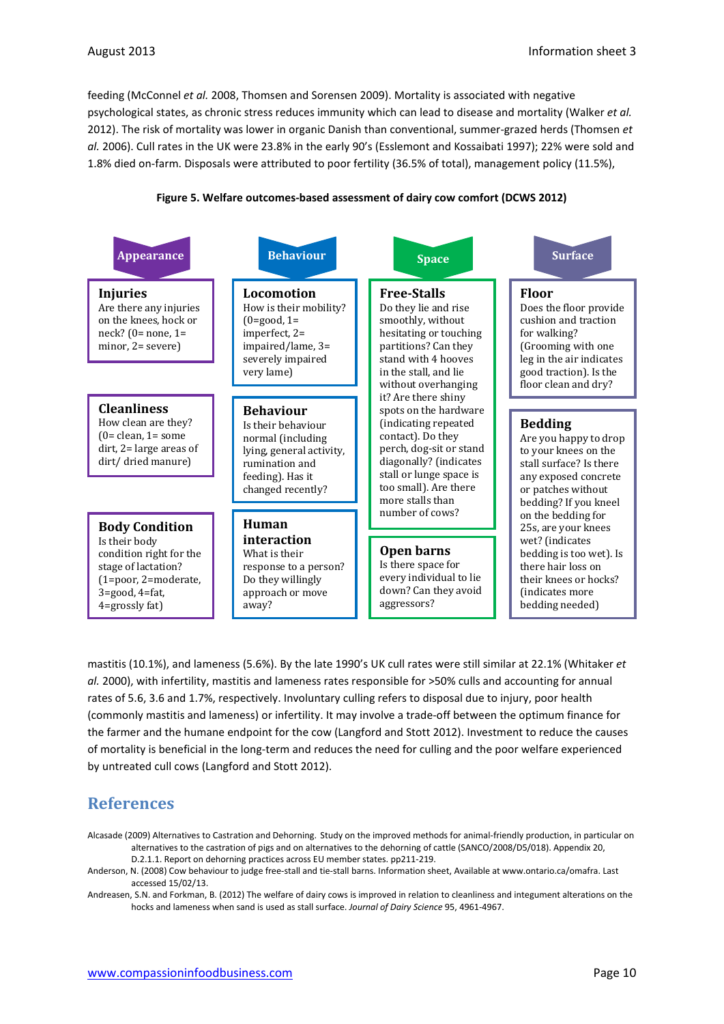feeding (McConnel *et al.* 2008, Thomsen and Sorensen 2009). Mortality is associated with negative psychological states, as chronic stress reduces immunity which can lead to disease and mortality (Walker *et al.* 2012). The risk of mortality was lower in organic Danish than conventional, summer-grazed herds (Thomsen *et al.* 2006). Cull rates in the UK were 23.8% in the early 90's (Esslemont and Kossaibati 1997); 22% were sold and 1.8% died on-farm. Disposals were attributed to poor fertility (36.5% of total), management policy (11.5%),

#### **Figure 5. Welfare outcomes-based assessment of dairy cow comfort (DCWS 2012)**



mastitis (10.1%), and lameness (5.6%). By the late 1990's UK cull rates were still similar at 22.1% (Whitaker *et al.* 2000), with infertility, mastitis and lameness rates responsible for >50% culls and accounting for annual rates of 5.6, 3.6 and 1.7%, respectively. Involuntary culling refers to disposal due to injury, poor health (commonly mastitis and lameness) or infertility. It may involve a trade-off between the optimum finance for the farmer and the humane endpoint for the cow (Langford and Stott 2012). Investment to reduce the causes of mortality is beneficial in the long-term and reduces the need for culling and the poor welfare experienced by untreated cull cows (Langford and Stott 2012).

# **References**

Alcasade (2009) Alternatives to Castration and Dehorning. Study on the improved methods for animal-friendly production, in particular on alternatives to the castration of pigs and on alternatives to the dehorning of cattle (SANCO/2008/D5/018). Appendix 20,

D.2.1.1. Report on dehorning practices across EU member states. pp211-219.

Anderson, N. (2008) Cow behaviour to judge free-stall and tie-stall barns. Information sheet, Available a[t www.ontario.ca/omafra.](http://www.ontario.ca/omafra) Last accessed 15/02/13.

Andreasen, S.N. and Forkman, B. (2012) The [welfare of dairy cows is improved in relation to cleanliness and integument alterations on the](http://www.journalofdairyscience.org/article/S0022-0302(12)00510-3/abstract)  [hocks and lameness when sand is used as stall surface.](http://www.journalofdairyscience.org/article/S0022-0302(12)00510-3/abstract) *Journal of Dairy Science* 95, 4961-4967.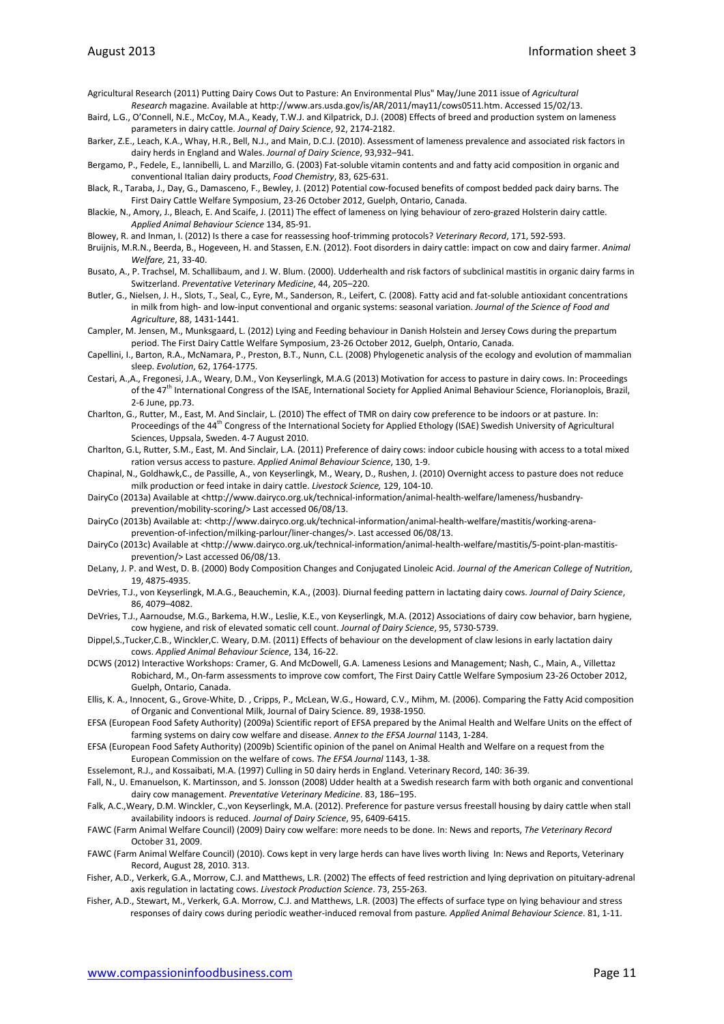Agricultural Research (2011) Putting Dairy Cows Out to Pasture: An Environmental Plus" [May/June 2011](http://www.ars.usda.gov/is/AR/archive/may11/) issue of *Agricultural Research* magazine. Available at [http://www.ars.usda.gov/is/AR/2011/may11/cows0511.htm.](http://www.ars.usda.gov/is/AR/2011/may11/cows0511.htm) Accessed 15/02/13.

Baird, L.G., O'Connell, N.E., McCoy, M.A., Keady, T.W.J. and Kilpatrick, D.J. (2008) Effects of breed and production system on lameness parameters in dairy cattle. *Journal of Dairy Science*, 92, 2174-2182.

Barker, Z.E., Leach, K.A., Whay, H.R., Bell, N.J., and Main, D.C.J. (2010). Assessment of lameness prevalence and associated risk factors in dairy herds in England and Wales. *Journal of Dairy Science*, 93,932–941.

Bergamo, P., Fedele, E., Iannibelli, L. and Marzillo, G. (2003) Fat-soluble vitamin contents and and fatty acid composition in organic and conventional Italian dairy products, *Food Chemistry*, 83, 625-631.

Black, R., Taraba, J., Day, G., Damasceno, F., Bewley, J. (2012) Potential cow-focused benefits of compost bedded pack dairy barns. The First Dairy Cattle Welfare Symposium, 23-26 October 2012, Guelph, Ontario, Canada.

Blackie, N., Amory, J., Bleach, E. And Scaife, J. (2011) The effect of lameness on lying behaviour of zero-grazed Holsterin dairy cattle. *Applied Animal Behaviour Science* 134, 85-91.

Blowey, R. and Inman, I. (2012) Is there a case for reassessing hoof-trimming protocols? *Veterinary Record*, 171, 592-593.

Bruijnis, M.R.N., Beerda, B., Hogeveen, H. and Stassen, E.N. (2012). Foot disorders in dairy cattle: impact on cow and dairy farmer. *Animal Welfare,* 21, 33-40.

Busato, A., P. Trachsel, M. Schallibaum, and J. W. Blum. (2000). Udderhealth and risk factors of subclinical mastitis in organic dairy farms in Switzerland. *Preventative Veterinary Medicine*, 44, 205–220.

Butler, G., Nielsen, J. H., Slots, T., Seal, C., Eyre, M., Sanderson, R., Leifert, C. (2008). Fatty acid and fat-soluble antioxidant concentrations in milk from high- and low-input conventional and organic systems: seasonal variation. *Journal of the Science of Food and Agriculture*, 88, 1431-1441.

Campler, M. Jensen, M., Munksgaard, L. (2012) Lying and Feeding behaviour in Danish Holstein and Jersey Cows during the prepartum period. The First Dairy Cattle Welfare Symposium, 23-26 October 2012, Guelph, Ontario, Canada.

Capellini, I., Barton, R.A., McNamara, P., Preston, B.T., Nunn, C.L. (2008) Phylogenetic analysis of the ecology and evolution of mammalian sleep. *Evolution*, 62, 1764-1775.

Cestari, A.,A., Fregonesi, J.A., Weary, D.M., Von Keyserlingk, M.A.G (2013) Motivation for access to pasture in dairy cows. In: Proceedings of the 47<sup>th</sup> International Congress of the ISAE, International Society for Applied Animal Behaviour Science, Florianoplois, Brazil, 2-6 June, pp.73.

Charlton, G., Rutter, M., East, M. And Sinclair, L. (2010) The effect of TMR on dairy cow preference to be indoors or at pasture. In: Proceedings of the 44<sup>th</sup> Congress of the International Society for Applied Ethology (ISAE) Swedish University of Agricultural Sciences, Uppsala, Sweden. 4-7 August 2010.

Charlton, G.L, Rutter, S.M., East, M. And Sinclair, L.A. (2011) Preference of dairy cows: indoor cubicle housing with access to a total mixed ration versus access to pasture. *Applied Animal Behaviour Science*, 130, 1-9.

Chapinal, N., Goldhawk,C., de Passille, A., von Keyserlingk, M., Weary, D., Rushen, J. (2010) Overnight access to pasture does not reduce milk production or feed intake in dairy cattle. *Livestock Science,* 129, 104-10.

DairyCo (2013a) Available at [<http://www.dairyco.org.uk/technical-information/animal-health-welfare/lameness/husbandry](http://www.dairyco.org.uk/technical-information/animal-health-welfare/lameness/husbandry-prevention/mobility-scoring/)[prevention/mobility-scoring/>](http://www.dairyco.org.uk/technical-information/animal-health-welfare/lameness/husbandry-prevention/mobility-scoring/) Last accessed 06/08/13.

DairyCo (2013b) Available at: [<http://www.dairyco.org.uk/technical-information/animal-health-welfare/mastitis/working-arena](http://www.dairyco.org.uk/technical-information/animal-health-welfare/mastitis/working-arena-prevention-of-infection/milking-parlour/liner-changes/)[prevention-of-infection/milking-parlour/liner-changes/>](http://www.dairyco.org.uk/technical-information/animal-health-welfare/mastitis/working-arena-prevention-of-infection/milking-parlour/liner-changes/). Last accessed 06/08/13.

DairyCo (2013c) Available at [<http://www.dairyco.org.uk/technical-information/animal-health-welfare/mastitis/5-point-plan-mastitis](http://www.dairyco.org.uk/technical-information/animal-health-welfare/mastitis/5-point-plan-mastitis-prevention/)[prevention/>](http://www.dairyco.org.uk/technical-information/animal-health-welfare/mastitis/5-point-plan-mastitis-prevention/) Last accessed 06/08/13.

DeLany, J. P. and West, D. B. (2000) Body Composition Changes and Conjugated Linoleic Acid. *Journal of the American College of Nutrition*, 19, 4875-4935.

DeVries, T.J., von Keyserlingk, M.A.G., Beauchemin, K.A., (2003). Diurnal feeding pattern in lactating dairy cows. *Journal of Dairy Science*, 86, 4079–4082.

DeVries, T.J., Aarnoudse, M.G., Barkema, H.W., Leslie, K.E., von Keyserlingk, M.A. (2012) Associations of dairy cow behavior, barn hygiene, cow hygiene, and risk of elevated somatic cell count. *Journal of Dairy Science*, 95, 5730-5739.

Dippel,S.,Tucker,C.B., Winckler,C. Weary, D.M. (2011) Effects of behaviour on the development of claw lesions in early lactation dairy cows. *Applied Animal Behaviour Science*, 134, 16-22.

DCWS (2012) Interactive Workshops: Cramer, G. And McDowell, G.A. Lameness Lesions and Management; Nash, C., Main, A., Villettaz Robichard, M., On-farm assessments to improve cow comfort, The First Dairy Cattle Welfare Symposium 23-26 October 2012, Guelph, Ontario, Canada.

Ellis, K. A., Innocent, G., Grove-White, D. , Cripps, P., McLean, W.G., Howard, C.V., Mihm, M. (2006). Comparing the Fatty Acid composition of Organic and Conventional Milk, Journal of Dairy Science. 89, 1938-1950.

EFSA (European Food Safety Authority) (2009a) Scientific report of EFSA prepared by the Animal Health and Welfare Units on the effect of farming systems on dairy cow welfare and disease. *Annex to the EFSA Journal* 1143, 1-284.

EFSA (European Food Safety Authority) (2009b) Scientific opinion of the panel on Animal Health and Welfare on a request from the European Commission on the welfare of cows. *The EFSA Journal* 1143, 1-38.

Esselemont, R.J., and Kossaibati, M.A. (1997) Culling in 50 dairy herds in England. Veterinary Record, 140: 36-39.

Fall, N., U. Emanuelson, K. Martinsson, and S. Jonsson (2008) Udder health at a Swedish research farm with both organic and conventional dairy cow management. *Preventative Veterinary Medicine*. 83, 186–195.

Falk, A.C.,Weary, D.M. Winckler, C.,von Keyserlingk, M.A. (2012). Preference for pasture versus freestall housing by dairy cattle when stall availability indoors is reduced. *Journal of Dairy Science*, 95, 6409-6415.

FAWC (Farm Animal Welfare Council) (2009) Dairy cow welfare: more needs to be done. In: News and reports, *The Veterinary Record* October 31, 2009.

FAWC (Farm Animal Welfare Council) (2010). Cows kept in very large herds can have lives worth living In: News and Reports, Veterinary Record, August 28, 2010. 313.

Fisher, A.D., Verkerk, G.A., Morrow, C.J. and Matthews, L.R. (2002) The effects of feed restriction and lying deprivation on pituitary-adrenal axis regulation in lactating cows. *Livestock Production Science*. 73, 255-263.

Fisher, A.D., Stewart, M., Verkerk, G.A. Morrow, C.J. and Matthews, L.R. (2003) The effects of surface type on lying behaviour and stress responses of dairy cows during periodic weather-induced removal from pasture*. Applied Animal Behaviour Science*. 81, 1-11.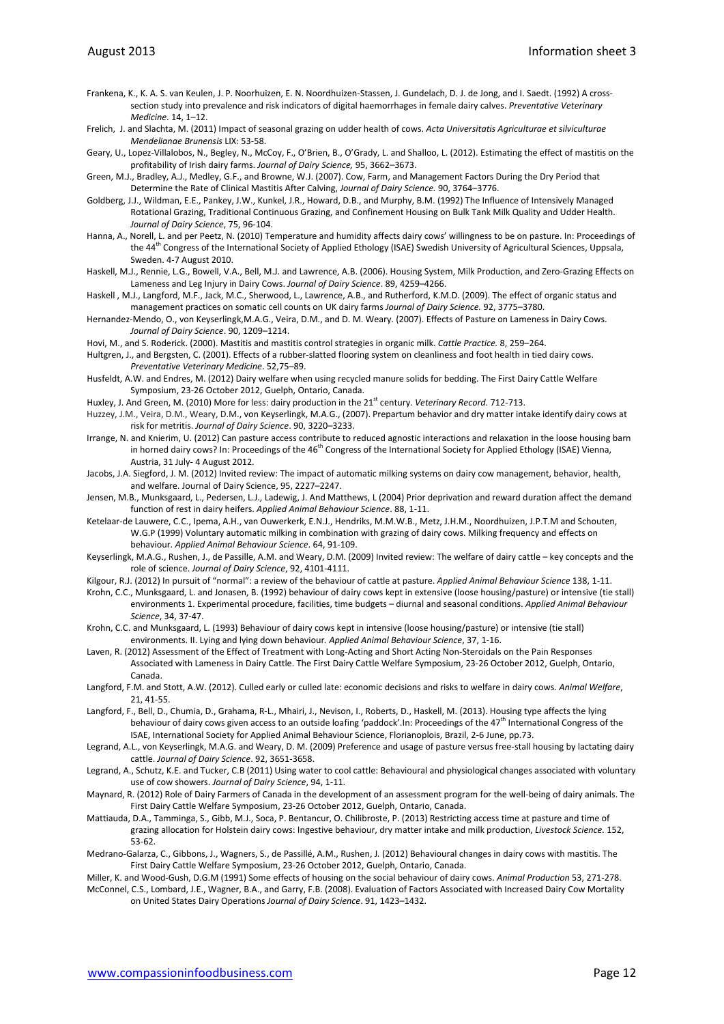- Frankena, K., K. A. S. van Keulen, J. P. Noorhuizen, E. N. Noordhuizen-Stassen, J. Gundelach, D. J. de Jong, and I. Saedt. (1992) A crosssection study into prevalence and risk indicators of digital haemorrhages in female dairy calves. *Preventative Veterinary Medicine*. 14, 1–12.
- Frelich, J. and Slachta, M. (2011) Impact of seasonal grazing on udder health of cows. *Acta Universitatis Agriculturae et silviculturae Mendelianae Brunensis* LIX: 53-58.
- [Geary, U., Lopez-Villalobos, N., Begley, N., McCoy, F., O'Brien, B., O'Grady, L. and Shalloo, L. \(2012\). Estimating the effect of mastitis on the](http://www.journalofdairyscience.org/issues?issue_key=S0022-0302%2812%29X0007-9)  [profitability of Irish dairy farms.](http://www.journalofdairyscience.org/issues?issue_key=S0022-0302%2812%29X0007-9) *Journal of Dairy Science,* 95, 3662–3673.
- Green, M.J., Bradley, A.J., Medley, G.F., and Browne, W.J. (2007). Cow, Farm, and Management Factors During the Dry Period that Determine the Rate of Clinical Mastitis After Calving, *Journal of Dairy Science.* 90, 3764–3776.
- Goldberg, J.J., Wildman, E.E., Pankey, J.W., Kunkel, J.R., Howard, D.B., and Murphy, B.M. (1992) The Influence of Intensively Managed Rotational Grazing, Traditional Continuous Grazing, and Confinement Housing on Bulk Tank Milk Quality and Udder Health. *Journal of Dairy Science*, 75, 96-104.
- Hanna, A., Norell, L. and per Peetz, N. (2010) Temperature and humidity affects dairy cows' willingness to be on pasture. In: Proceedings of the 44<sup>th</sup> Congress of the International Society of Applied Ethology (ISAE) Swedish University of Agricultural Sciences, Uppsala, Sweden. 4-7 August 2010.
- Haskell, M.J., Rennie, L.G., Bowell, V.A., Bell, M.J. and Lawrence, A.B. (2006). Housing System, Milk Production, and Zero-Grazing Effects on Lameness and Leg Injury in Dairy Cows. *Journal of Dairy Science*. 89, 4259–4266.
- Haskell , M.J., Langford, M.F., Jack, M.C., Sherwood, L., Lawrence, A.B., and Rutherford, K.M.D. (2009). The effect of organic status and management practices on somatic cell counts on UK dairy farms *Journal of Dairy Science.* 92, 3775–3780.
- Hernandez-Mendo, O., von Keyserlingk,M.A.G., Veira, D.M., and D. M. Weary. (2007). Effects of Pasture on Lameness in Dairy Cows. *Journal of Dairy Science*. 90, 1209–1214.
- Hovi, M., and S. Roderick. (2000). Mastitis and mastitis control strategies in organic milk. *Cattle Practice.* 8, 259–264.
- Hultgren, J., and Bergsten, C. (2001). Effects of a rubber-slatted flooring system on cleanliness and foot health in tied dairy cows. *Preventative Veterinary Medicine*. 52,75–89.
- Husfeldt, A.W. and Endres, M. (2012) Dairy welfare when using recycled manure solids for bedding. The First Dairy Cattle Welfare Symposium, 23-26 October 2012, Guelph, Ontario, Canada.
- Huxley, J. And Green, M. (2010) More for less: dairy production in the 21<sup>st</sup> century. *Veterinary Record*. 712-713.
- Huzzey, J.M., Veira, D.M., Weary, D.M., von Keyserlingk, M.A.G., (2007). Prepartum behavior and dry matter intake identify dairy cows at risk for metritis. *Journal of Dairy Science*. 90, 3220–3233.
- Irrange, N. and Knierim, U. (2012) Can pasture access contribute to reduced agnostic interactions and relaxation in the loose housing barn in horned dairy cows? In: Proceedings of the  $46^{th}$  Congress of the International Society for Applied Ethology (ISAE) Vienna, Austria, 31 July- 4 August 2012.
- Jacobs, J.A. Siegford, J. M. (2012) Invited review: The impact of automatic milking systems on dairy cow management, behavior, health, and welfare. Journal of Dairy Science, 95, 2227–2247.
- Jensen, M.B., Munksgaard, L., Pedersen, L.J., Ladewig, J. And Matthews, L (2004) Prior deprivation and reward duration affect the demand function of rest in dairy heifers. *Applied Animal Behaviour Science*. 88, 1-11.
- Ketelaar-de Lauwere, C.C., Ipema, A.H., van Ouwerkerk, E.N.J., Hendriks, M.M.W.B., Metz, J.H.M., Noordhuizen, J.P.T.M and Schouten, W.G.P (1999) Voluntary automatic milking in combination with grazing of dairy cows. Milking frequency and effects on behaviour. *Applied Animal Behaviour Science*. 64, 91-109.
- Keyserlingk, M.A.G., Rushen, J., de Passille, A.M. and Weary, D.M. (2009) Invited review: The welfare of dairy cattle key concepts and the role of science. *Journal of Dairy Science*, 92, 4101-4111.
- Kilgour, R.J. (2012) In pursuit of "normal": a review of the behaviour of cattle at pasture. *Applied Animal Behaviour Science* 138, 1-11.
- Krohn, C.C., Munksgaard, L. and Jonasen, B. (1992) behaviour of dairy cows kept in extensive (loose housing/pasture) or intensive (tie stall) environments 1. Experimental procedure, facilities, time budgets – diurnal and seasonal conditions. *Applied Animal Behaviour Science*, 34, 37-47.
- Krohn, C.C. and Munksgaard, L. (1993) Behaviour of dairy cows kept in intensive (loose housing/pasture) or intensive (tie stall) environments. II. Lying and lying down behaviour*. Applied Animal Behaviour Science*, 37, 1-16.
- Laven, R. (2012) Assessment of the Effect of Treatment with Long-Acting and Short Acting Non-Steroidals on the Pain Responses Associated with Lameness in Dairy Cattle. The First Dairy Cattle Welfare Symposium, 23-26 October 2012, Guelph, Ontario, Canada.
- Langford, F.M. and Stott, A.W. (2012). Culled early or culled late: economic decisions and risks to welfare in dairy cows. *Animal Welfare*, 21, 41-55.
- Langford, F., Bell, D., Chumia, D., Grahama, R-L., Mhairi, J., Nevison, I., Roberts, D., Haskell, M. (2013). Housing type affects the lying behaviour of dairy cows given access to an outside loafing 'paddock'.In: Proceedings of the 47<sup>th</sup> International Congress of the ISAE, International Society for Applied Animal Behaviour Science, Florianoplois, Brazil, 2-6 June, pp.73.
- Legrand, A.L., von Keyserlingk, M.A.G. and Weary, D. M. (2009) Preference and usage of pasture versus free-stall housing by lactating dairy cattle. *Journal of Dairy Science*. 92, 3651-3658.
- Legrand, A., Schutz, K.E. and Tucker, C.B (2011) Using water to cool cattle: Behavioural and physiological changes associated with voluntary use of cow showers. *Journal of Dairy Science*, 94, 1-11.
- Maynard, R. (2012) Role of Dairy Farmers of Canada in the development of an assessment program for the well-being of dairy animals. The First Dairy Cattle Welfare Symposium, 23-26 October 2012, Guelph, Ontario, Canada.
- Mattiauda, D.A., Tamminga, S., Gibb, M.J., Soca, P. Bentancur, O. Chilibroste, P. (2013) Restricting access time at pasture and time of grazing allocation for Holstein dairy cows: Ingestive behaviour, dry matter intake and milk production, *Livestock Science.* 152, 53-62.
- Medrano-Galarza, C., Gibbons, J., Wagners, S., de Passillé, A.M., Rushen, J*.* (2012) Behavioural changes in dairy cows with mastitis. The First Dairy Cattle Welfare Symposium, 23-26 October 2012, Guelph, Ontario, Canada.
- Miller, K. and Wood-Gush, D.G.M (1991) Some effects of housing on the social behaviour of dairy cows. *Animal Production* 53, 271-278. McConnel, C.S., Lombard, J.E., Wagner, B.A., and Garry, F.B. (2008). Evaluation of Factors Associated with Increased Dairy Cow Mortality
	- on United States Dairy Operations *Journal of Dairy Science*. 91, 1423–1432.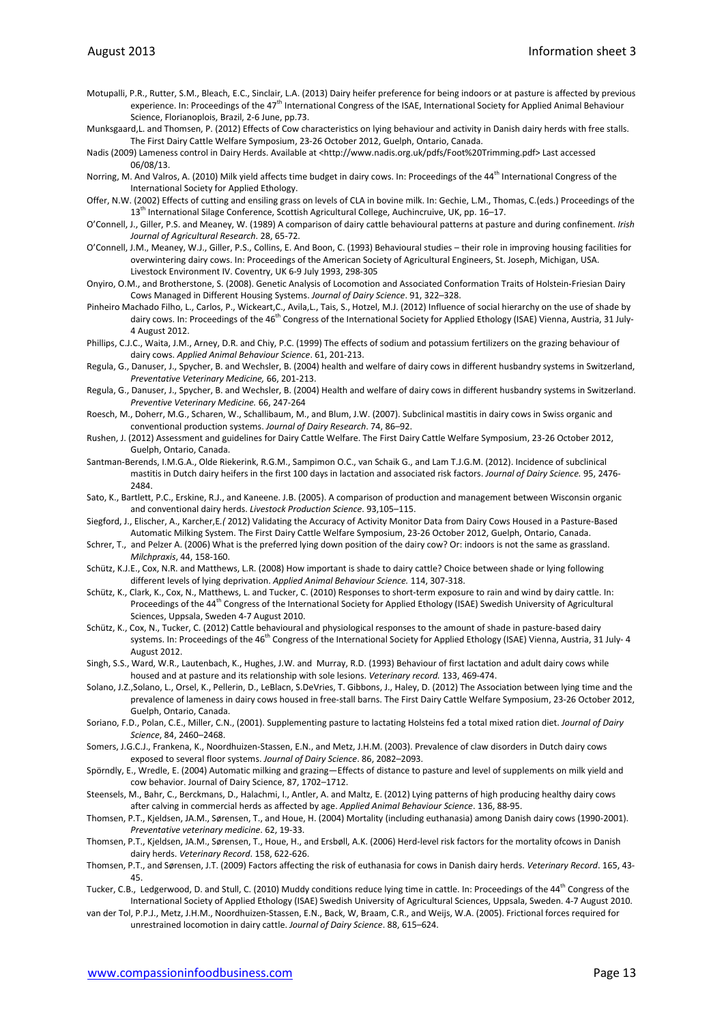- Motupalli, P.R., Rutter, S.M., Bleach, E.C., Sinclair, L.A. (2013) Dairy heifer preference for being indoors or at pasture is affected by previous experience. In: Proceedings of the 47<sup>th</sup> International Congress of the ISAE, International Society for Applied Animal Behaviour Science, Florianoplois, Brazil, 2-6 June, pp.73.
- Munksgaard,L. and Thomsen, P. (2012) Effects of Cow characteristics on lying behaviour and activity in Danish dairy herds with free stalls. The First Dairy Cattle Welfare Symposium, 23-26 October 2012, Guelph, Ontario, Canada.
- Nadis (2009) Lameness control in Dairy Herds. Available at [<http://www.nadis.org.uk/pdfs/Foot%20Trimming.pdf>](http://www.nadis.org.uk/pdfs/Foot%20Trimming.pdf) Last accessed 06/08/13.
- Norring, M. And Valros, A. (2010) Milk yield affects time budget in dairy cows. In: Proceedings of the 44<sup>th</sup> International Congress of the International Society for Applied Ethology.
- Offer, N.W. (2002) Effects of cutting and ensiling grass on levels of CLA in bovine milk. In: Gechie, L.M., Thomas, C.(eds.) Proceedings of the 13th International Silage Conference, Scottish Agricultural College, Auchincruive, UK, pp. 16–17.
- O'Connell, J., Giller, P.S. and Meaney, W. (1989) A comparison of dairy cattle behavioural patterns at pasture and during confinement. *Irish Journal of Agricultural Research*. 28, 65-72.
- O'Connell, J.M., Meaney, W.J., Giller, P.S., Collins, E. And Boon, C. (1993) Behavioural studies their role in improving housing facilities for overwintering dairy cows. In: Proceedings of the American Society of Agricultural Engineers, St. Joseph, Michigan, USA. Livestock Environment IV. Coventry, UK 6-9 July 1993, 298-305
- Onyiro, O.M., and Brotherstone, S. (2008). Genetic Analysis of Locomotion and Associated Conformation Traits of Holstein-Friesian Dairy Cows Managed in Different Housing Systems. *Journal of Dairy Science*. 91, 322–328.
- Pinheiro Machado Filho, L., Carlos, P., Wickeart,C., Avila,L., Tais, S., Hotzel, M.J. (2012) Influence of social hierarchy on the use of shade by dairy cows. In: Proceedings of the 46<sup>th</sup> Congress of the International Society for Applied Ethology (ISAE) Vienna, Austria, 31 July-4 August 2012.
- Phillips, C.J.C., Waita, J.M., Arney, D.R. and Chiy, P.C. (1999) The effects of sodium and potassium fertilizers on the grazing behaviour of dairy cows. *Applied Animal Behaviour Science*. 61, 201-213.
- Regula, G., Danuser, J., Spycher, B. and Wechsler, B. (2004) health and welfare of dairy cows in different husbandry systems in Switzerland, *Preventative Veterinary Medicine,* 66, 201-213.
- Regula, G., Danuser, J., Spycher, B. and Wechsler, B. (2004) Health and welfare of dairy cows in different husbandry systems in Switzerland. *Preventive Veterinary Medicine.* 66, 247-264
- Roesch, M., Doherr, M.G., Scharen, W., Schallibaum, M., and Blum, J.W. (2007). Subclinical mastitis in dairy cows in Swiss organic and conventional production systems. *Journal of Dairy Research*. 74, 86–92.
- Rushen, J. (2012) Assessment and guidelines for Dairy Cattle Welfare. The First Dairy Cattle Welfare Symposium, 23-26 October 2012, Guelph, Ontario, Canada.
- [Santman-Berends, I.M.G.A., Olde Riekerink, R.G.M., Sampimon O.C., van Schaik G., and Lam T.J.G.M. \(2012\). Incidence of subclinical](http://www.sciencedirect.com/science/article/pii/S0022030212002135)  [mastitis in Dutch dairy heifers in the first 100 days in lactation and associated risk factors.](http://www.sciencedirect.com/science/article/pii/S0022030212002135) *Journal of Dairy Science.* 95, 2476- [2484.](http://www.sciencedirect.com/science/article/pii/S0022030212002135)
- Sato, K., Bartlett, P.C., Erskine, R.J., and Kaneene. J.B. (2005). A comparison of production and management between Wisconsin organic and conventional dairy herds. *Livestock Production Science*. 93,105–115.
- Siegford, J., Elischer, A., Karcher,E*.(* 2012) Validating the Accuracy of Activity Monitor Data from Dairy Cows Housed in a Pasture-Based Automatic Milking System. The First Dairy Cattle Welfare Symposium, 23-26 October 2012, Guelph, Ontario, Canada.
- Schrer, T., and Pelzer A. (2006) What is the preferred lying down position of the dairy cow? Or: indoors is not the same as grassland. *Milchpraxis*, 44, 158-160.
- Schütz, K.J.E., Cox, N.R. and Matthews, L.R. (2008) How important is shade to dairy cattle? Choice between shade or lying following different levels of lying deprivation. *Applied Animal Behaviour Science.* 114, 307-318.
- Schütz, K., Clark, K., Cox, N., Matthews, L. and Tucker, C. (2010) Responses to short-term exposure to rain and wind by dairy cattle. In: Proceedings of the 44<sup>th</sup> Congress of the International Society for Applied Ethology (ISAE) Swedish University of Agricultural Sciences, Uppsala, Sweden 4-7 August 2010.
- Schütz, K., Cox, N., Tucker, C. (2012) Cattle behavioural and physiological responses to the amount of shade in pasture-based dairy systems. In: Proceedings of the 46<sup>th</sup> Congress of the International Society for Applied Ethology (ISAE) Vienna, Austria, 31 July- 4 August 2012.
- Singh, S.S., Ward, W.R., Lautenbach, K., Hughes, J.W. and Murray, R.D. (1993) Behaviour of first lactation and adult dairy cows while housed and at pasture and its relationship with sole lesions. *Veterinary record.* 133, 469-474.
- Solano, J.Z.,Solano, L., Orsel, K., Pellerin, D., LeBlacn, S.DeVries, T. Gibbons, J., Haley, D. (2012) The Association between lying time and the prevalence of lameness in dairy cows housed in free-stall barns. The First Dairy Cattle Welfare Symposium, 23-26 October 2012, Guelph, Ontario, Canada.
- Soriano, F.D., Polan, C.E., Miller, C.N., (2001). Supplementing pasture to lactating Holsteins fed a total mixed ration diet. *Journal of Dairy Science*, 84, 2460–2468.
- Somers, J.G.C.J., Frankena, K., Noordhuizen-Stassen, E.N., and Metz, J.H.M. (2003). Prevalence of claw disorders in Dutch dairy cows exposed to several floor systems. *Journal of Dairy Science*. 86, 2082–2093.
- Spörndly, E., Wredle, E. (2004) Automatic milking and grazing—Effects of distance to pasture and level of supplements on milk yield and cow behavior. Journal of Dairy Science, 87, 1702–1712.
- Steensels, M., Bahr, C., Berckmans, D., Halachmi, I., Antler, A. and Maltz, E. (2012) Lying patterns of high producing healthy dairy cows after calving in commercial herds as affected by age. *Applied Animal Behaviour Science*. 136, 88-95.
- Thomsen, P.T., Kjeldsen, JA.M., Sørensen, T., and Houe, H. (2004) Mortality (including euthanasia) among Danish dairy cows (1990-2001). *Preventative veterinary medicine*. 62, 19-33.
- Thomsen, P.T., Kjeldsen, JA.M., Sørensen, T., Houe, H., and Ersbøll, A.K. (2006) Herd-level risk factors for the mortality ofcows in Danish dairy herds. *Veterinary Record*. 158, 622-626.
- Thomsen, P.T., and Sørensen, J.T. (2009) Factors affecting the risk of euthanasia for cows in Danish dairy herds. *Veterinary Record*. 165, 43- 45.
- Tucker, C.B., Ledgerwood, D. and Stull, C. (2010) Muddy conditions reduce lying time in cattle. In: Proceedings of the 44<sup>th</sup> Congress of the International Society of Applied Ethology (ISAE) Swedish University of Agricultural Sciences, Uppsala, Sweden. 4-7 August 2010.
- van der Tol, P.P.J., Metz, J.H.M., Noordhuizen-Stassen, E.N., Back, W, Braam, C.R., and Weijs, W.A. (2005). Frictional forces required for unrestrained locomotion in dairy cattle. *Journal of Dairy Science*. 88, 615–624.